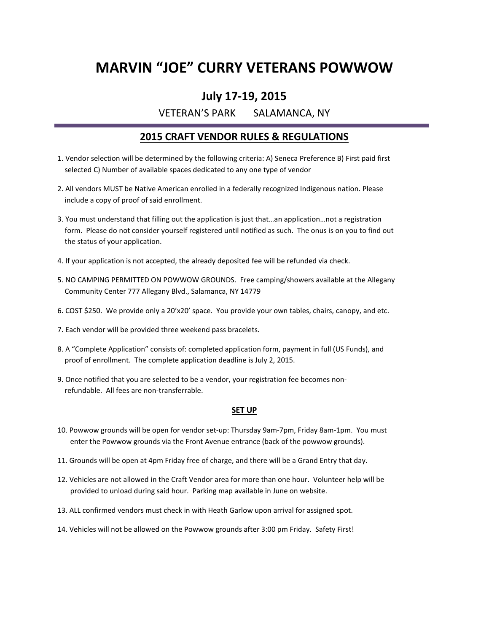### **MARVIN "JOE" CURRY VETERANS POWWOW**

### **July 17-19, 2015**

VETERAN'S PARK SALAMANCA, NY

### **2015 CRAFT VENDOR RULES & REGULATIONS**

- 1. Vendor selection will be determined by the following criteria: A) Seneca Preference B) First paid first selected C) Number of available spaces dedicated to any one type of vendor
- 2. All vendors MUST be Native American enrolled in a federally recognized Indigenous nation. Please include a copy of proof of said enrollment.
- 3. You must understand that filling out the application is just that…an application…not a registration form. Please do not consider yourself registered until notified as such. The onus is on you to find out the status of your application.
- 4. If your application is not accepted, the already deposited fee will be refunded via check.
- 5. NO CAMPING PERMITTED ON POWWOW GROUNDS. Free camping/showers available at the Allegany Community Center 777 Allegany Blvd., Salamanca, NY 14779
- 6. COST \$250. We provide only a 20'x20' space. You provide your own tables, chairs, canopy, and etc.
- 7. Each vendor will be provided three weekend pass bracelets.
- 8. A "Complete Application" consists of: completed application form, payment in full (US Funds), and proof of enrollment. The complete application deadline is July 2, 2015.
- 9. Once notified that you are selected to be a vendor, your registration fee becomes non refundable. All fees are non-transferrable.

#### **SET UP**

- 10. Powwow grounds will be open for vendor set-up: Thursday 9am-7pm, Friday 8am-1pm. You must enter the Powwow grounds via the Front Avenue entrance (back of the powwow grounds).
- 11. Grounds will be open at 4pm Friday free of charge, and there will be a Grand Entry that day.
- 12. Vehicles are not allowed in the Craft Vendor area for more than one hour. Volunteer help will be provided to unload during said hour. Parking map available in June on website.
- 13. ALL confirmed vendors must check in with Heath Garlow upon arrival for assigned spot.
- 14. Vehicles will not be allowed on the Powwow grounds after 3:00 pm Friday. Safety First!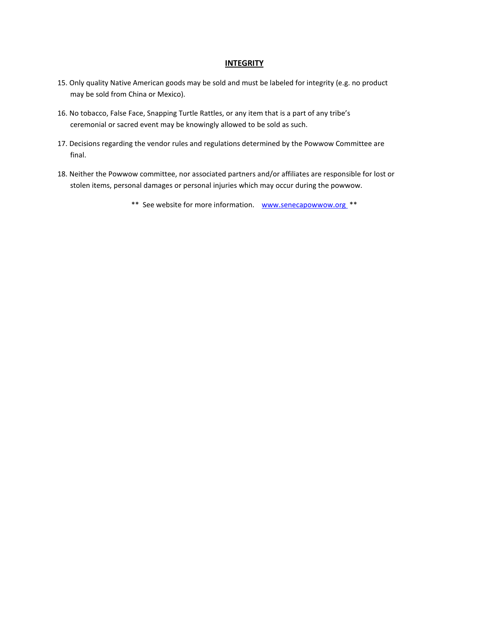#### **INTEGRITY**

- 15. Only quality Native American goods may be sold and must be labeled for integrity (e.g. no product may be sold from China or Mexico).
- 16. No tobacco, False Face, Snapping Turtle Rattles, or any item that is a part of any tribe's ceremonial or sacred event may be knowingly allowed to be sold as such.
- 17. Decisions regarding the vendor rules and regulations determined by the Powwow Committee are final.
- 18. Neither the Powwow committee, nor associated partners and/or affiliates are responsible for lost or stolen items, personal damages or personal injuries which may occur during the powwow.

\*\* See website for more information. www.senecapowwow.org \*\*